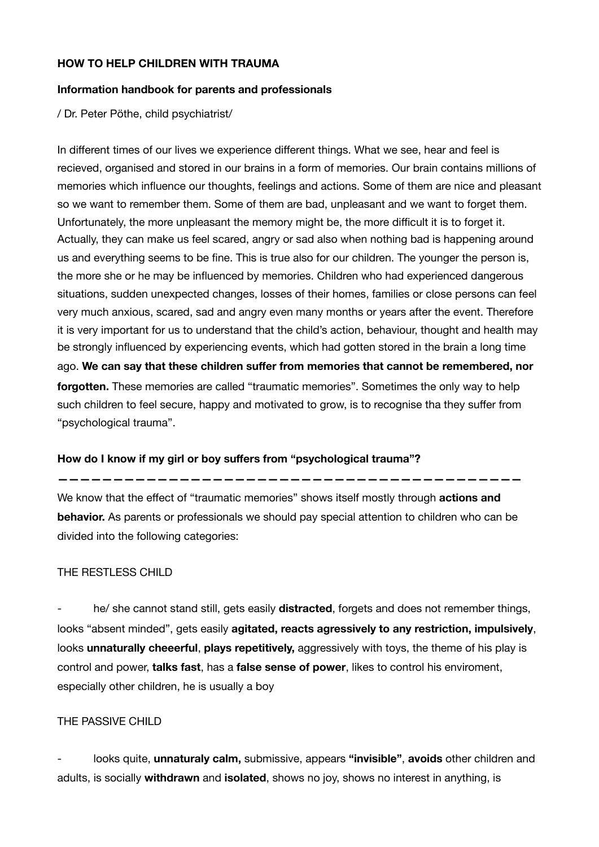## **HOW TO HELP CHILDREN WITH TRAUMA**

### **Information handbook for parents and professionals**

/ Dr. Peter Pöthe, child psychiatrist/

In different times of our lives we experience different things. What we see, hear and feel is recieved, organised and stored in our brains in a form of memories. Our brain contains millions of memories which influence our thoughts, feelings and actions. Some of them are nice and pleasant so we want to remember them. Some of them are bad, unpleasant and we want to forget them. Unfortunately, the more unpleasant the memory might be, the more difficult it is to forget it. Actually, they can make us feel scared, angry or sad also when nothing bad is happening around us and everything seems to be fine. This is true also for our children. The younger the person is, the more she or he may be influenced by memories. Children who had experienced dangerous situations, sudden unexpected changes, losses of their homes, families or close persons can feel very much anxious, scared, sad and angry even many months or years after the event. Therefore it is very important for us to understand that the child's action, behaviour, thought and health may be strongly influenced by experiencing events, which had gotten stored in the brain a long time ago. **We can say that these children suffer from memories that cannot be remembered, nor forgotten.** These memories are called "traumatic memories". Sometimes the only way to help such children to feel secure, happy and motivated to grow, is to recognise tha they suffer from "psychological trauma".

## **How do I know if my girl or boy suffers from "psychological trauma"?**

**——————————————————————————————————————————** 

We know that the effect of "traumatic memories" shows itself mostly through **actions and behavior.** As parents or professionals we should pay special attention to children who can be divided into the following categories:

## THE RESTLESS CHILD

he/ she cannot stand still, gets easily **distracted**, forgets and does not remember things, looks "absent minded", gets easily **agitated, reacts agressively to any restriction, impulsively**, looks **unnaturally cheeerful**, **plays repetitively,** aggressively with toys, the theme of his play is control and power, **talks fast**, has a **false sense of power**, likes to control his enviroment, especially other children, he is usually a boy

## THE PASSIVE CHILD

- looks quite, **unnaturaly calm,** submissive, appears **"invisible"**, **avoids** other children and adults, is socially **withdrawn** and **isolated**, shows no joy, shows no interest in anything, is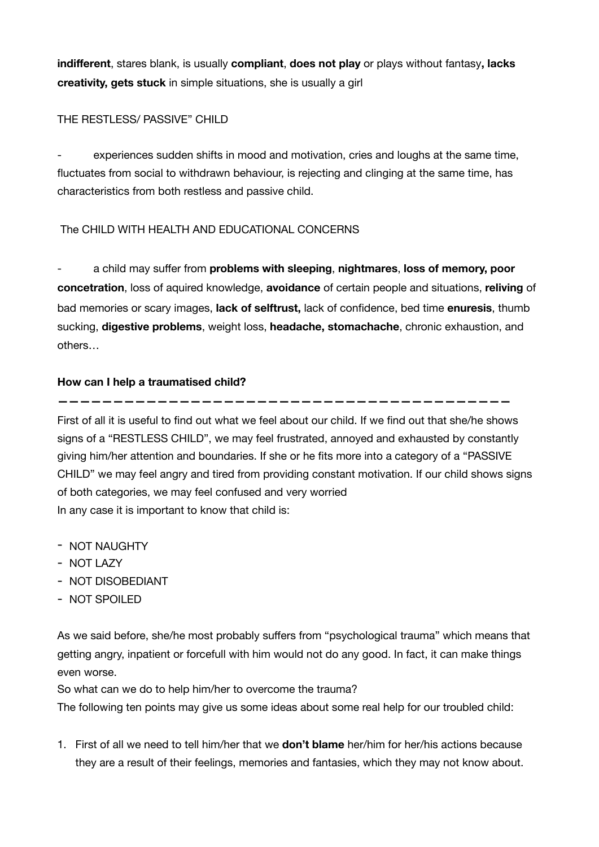**indifferent**, stares blank, is usually **compliant**, **does not play** or plays without fantasy**, lacks creativity, gets stuck** in simple situations, she is usually a girl

## THE RESTLESS/ PASSIVE" CHILD

experiences sudden shifts in mood and motivation, cries and loughs at the same time, fluctuates from social to withdrawn behaviour, is rejecting and clinging at the same time, has characteristics from both restless and passive child.

# The CHILD WITH HEALTH AND EDUCATIONAL CONCERNS

- a child may suffer from **problems with sleeping**, **nightmares**, **loss of memory, poor concetration**, loss of aquired knowledge, **avoidance** of certain people and situations, **reliving** of bad memories or scary images, **lack of selftrust,** lack of confidence, bed time **enuresis**, thumb sucking, **digestive problems**, weight loss, **headache, stomachache**, chronic exhaustion, and others…

# **How can I help a traumatised child?**

First of all it is useful to find out what we feel about our child. If we find out that she/he shows signs of a "RESTLESS CHILD", we may feel frustrated, annoyed and exhausted by constantly giving him/her attention and boundaries. If she or he fits more into a category of a "PASSIVE CHILD" we may feel angry and tired from providing constant motivation. If our child shows signs of both categories, we may feel confused and very worried In any case it is important to know that child is:

**—————————————————————————————————————————** 

- NOT NAUGHTY
- NOT LAZY
- NOT DISOBEDIANT
- NOT SPOILED

As we said before, she/he most probably suffers from "psychological trauma" which means that getting angry, inpatient or forcefull with him would not do any good. In fact, it can make things even worse.

So what can we do to help him/her to overcome the trauma?

The following ten points may give us some ideas about some real help for our troubled child:

1. First of all we need to tell him/her that we **don't blame** her/him for her/his actions because they are a result of their feelings, memories and fantasies, which they may not know about.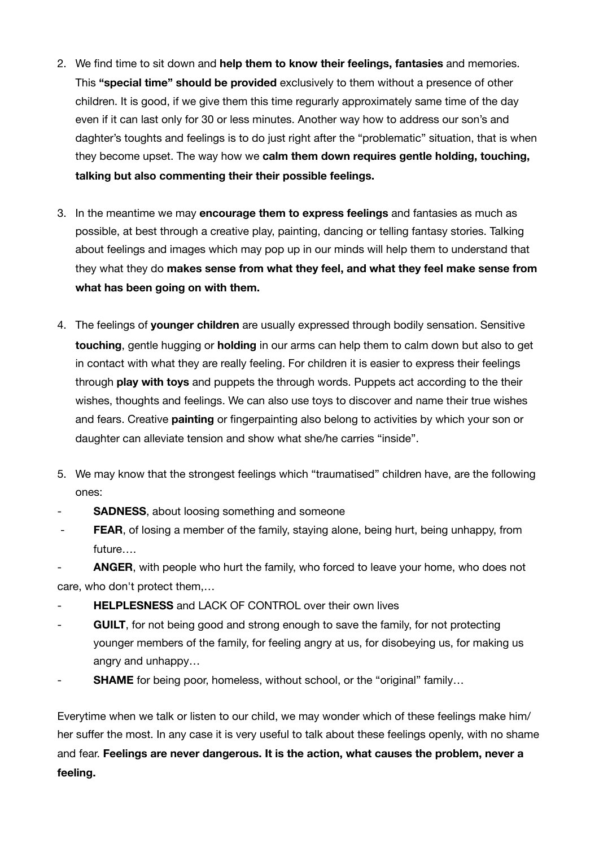- 2. We find time to sit down and **help them to know their feelings, fantasies** and memories. This **"special time" should be provided** exclusively to them without a presence of other children. It is good, if we give them this time regurarly approximately same time of the day even if it can last only for 30 or less minutes. Another way how to address our son's and daghter's toughts and feelings is to do just right after the "problematic" situation, that is when they become upset. The way how we **calm them down requires gentle holding, touching, talking but also commenting their their possible feelings.**
- 3. In the meantime we may **encourage them to express feelings** and fantasies as much as possible, at best through a creative play, painting, dancing or telling fantasy stories. Talking about feelings and images which may pop up in our minds will help them to understand that they what they do **makes sense from what they feel, and what they feel make sense from what has been going on with them.**
- 4. The feelings of **younger children** are usually expressed through bodily sensation. Sensitive **touching**, gentle hugging or **holding** in our arms can help them to calm down but also to get in contact with what they are really feeling. For children it is easier to express their feelings through **play with toys** and puppets the through words. Puppets act according to the their wishes, thoughts and feelings. We can also use toys to discover and name their true wishes and fears. Creative **painting** or fingerpainting also belong to activities by which your son or daughter can alleviate tension and show what she/he carries "inside".
- 5. We may know that the strongest feelings which "traumatised" children have, are the following ones:
- **SADNESS**, about loosing something and someone
- **FEAR**, of losing a member of the family, staying alone, being hurt, being unhappy, from future….

ANGER, with people who hurt the family, who forced to leave your home, who does not care, who don't protect them,…

- **HELPLESNESS** and LACK OF CONTROL over their own lives
- GUILT, for not being good and strong enough to save the family, for not protecting younger members of the family, for feeling angry at us, for disobeying us, for making us angry and unhappy…
- **SHAME** for being poor, homeless, without school, or the "original" family...

Everytime when we talk or listen to our child, we may wonder which of these feelings make him/ her suffer the most. In any case it is very useful to talk about these feelings openly, with no shame and fear. **Feelings are never dangerous. It is the action, what causes the problem, never a feeling.**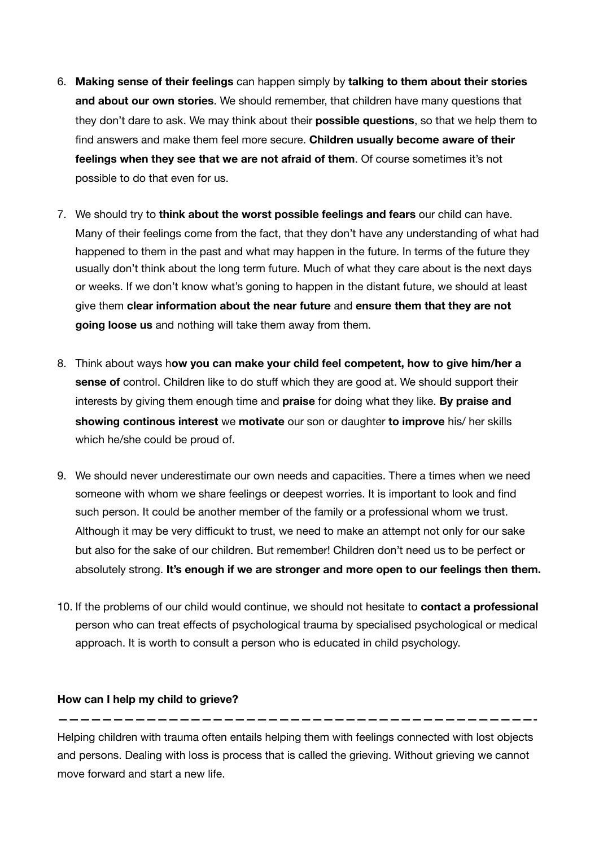- 6. **Making sense of their feelings** can happen simply by **talking to them about their stories and about our own stories**. We should remember, that children have many questions that they don't dare to ask. We may think about their **possible questions**, so that we help them to find answers and make them feel more secure. **Children usually become aware of their feelings when they see that we are not afraid of them**. Of course sometimes it's not possible to do that even for us.
- 7. We should try to **think about the worst possible feelings and fears** our child can have. Many of their feelings come from the fact, that they don't have any understanding of what had happened to them in the past and what may happen in the future. In terms of the future they usually don't think about the long term future. Much of what they care about is the next days or weeks. If we don't know what's goning to happen in the distant future, we should at least give them **clear information about the near future** and **ensure them that they are not going loose us** and nothing will take them away from them.
- 8. Think about ways h**ow you can make your child feel competent, how to give him/her a sense of** control. Children like to do stuff which they are good at. We should support their interests by giving them enough time and **praise** for doing what they like. **By praise and showing continous interest** we **motivate** our son or daughter **to improve** his/ her skills which he/she could be proud of.
- 9. We should never underestimate our own needs and capacities. There a times when we need someone with whom we share feelings or deepest worries. It is important to look and find such person. It could be another member of the family or a professional whom we trust. Although it may be very difficukt to trust, we need to make an attempt not only for our sake but also for the sake of our children. But remember! Children don't need us to be perfect or absolutely strong. **It's enough if we are stronger and more open to our feelings then them.**
- 10. If the problems of our child would continue, we should not hesitate to **contact a professional**  person who can treat effects of psychological trauma by specialised psychological or medical approach. It is worth to consult a person who is educated in child psychology.

#### **How can I help my child to grieve?**

Helping children with trauma often entails helping them with feelings connected with lost objects and persons. Dealing with loss is process that is called the grieving. Without grieving we cannot move forward and start a new life.

**———————————————————————————————————————————-**